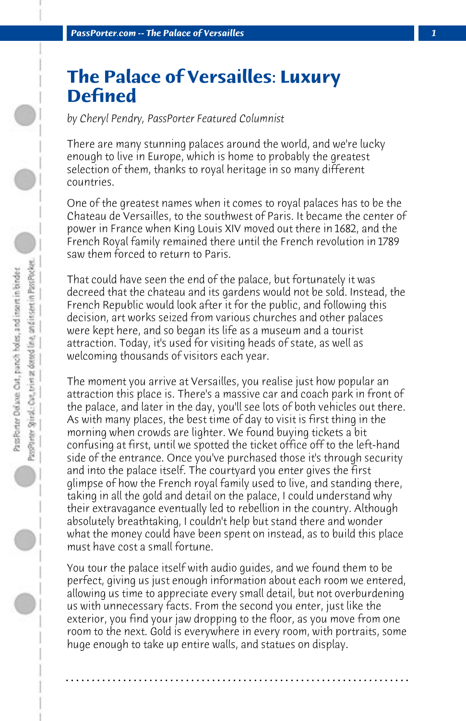## **The Palace of Versailles: Luxury Defined**

*by Cheryl Pendry, PassPorter Featured Columnist*

There are many stunning palaces around the world, and we're lucky enough to live in Europe, which is home to probably the greatest selection of them, thanks to royal heritage in so many different countries.

One of the greatest names when it comes to royal palaces has to be the Chateau de Versailles, to the southwest of Paris. It became the center of power in France when King Louis XIV moved out there in 1682, and the French Royal family remained there until the French revolution in 1789 saw them forced to return to Paris.

That could have seen the end of the palace, but fortunately it was decreed that the chateau and its gardens would not be sold. Instead, the French Republic would look after it for the public, and following this decision, art works seized from various churches and other palaces were kept here, and so began its life as a museum and a tourist attraction. Today, it's used for visiting heads of state, as well as welcoming thousands of visitors each year.

The moment you arrive at Versailles, you realise just how popular an attraction this place is. There's a massive car and coach park in front of the palace, and later in the day, you'll see lots of both vehicles out there. As with many places, the best time of day to visit is first thing in the morning when crowds are lighter. We found buying tickets a bit confusing at first, until we spotted the ticket office off to the left-hand side of the entrance. Once you've purchased those it's through security and into the palace itself. The courtyard you enter gives the first glimpse of how the French royal family used to live, and standing there, taking in all the gold and detail on the palace, I could understand why their extravagance eventually led to rebellion in the country. Although absolutely breathtaking, I couldn't help but stand there and wonder what the money could have been spent on instead, as to build this place must have cost a small fortune.

You tour the palace itself with audio guides, and we found them to be perfect, giving us just enough information about each room we entered, allowing us time to appreciate every small detail, but not overburdening us with unnecessary facts. From the second you enter, just like the exterior, you find your jaw dropping to the floor, as you move from one room to the next. Gold is everywhere in every room, with portraits, some huge enough to take up entire walls, and statues on display.

**. . . . . . . . . . . . . . . . . . . . . . . . . . . . . . . . . . . . . . . . . . . . . . . . . . . . . . . . . . . . . . . . . .**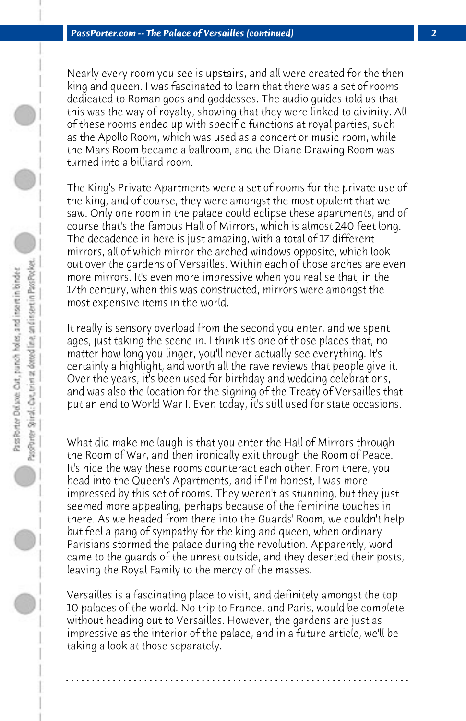Nearly every room you see is upstairs, and all were created for the then king and queen. I was fascinated to learn that there was a set of rooms dedicated to Roman gods and goddesses. The audio guides told us that this was the way of royalty, showing that they were linked to divinity. All of these rooms ended up with specific functions at royal parties, such as the Apollo Room, which was used as a concert or music room, while the Mars Room became a ballroom, and the Diane Drawing Room was turned into a billiard room.

The King's Private Apartments were a set of rooms for the private use of the king, and of course, they were amongst the most opulent that we saw. Only one room in the palace could eclipse these apartments, and of course that's the famous Hall of Mirrors, which is almost 240 feet long. The decadence in here is just amazing, with a total of 17 different mirrors, all of which mirror the arched windows opposite, which look out over the gardens of Versailles. Within each of those arches are even more mirrors. It's even more impressive when you realise that, in the 17th century, when this was constructed, mirrors were amongst the most expensive items in the world.

It really is sensory overload from the second you enter, and we spent ages, just taking the scene in. I think it's one of those places that, no matter how long you linger, you'll never actually see everything. It's certainly a highlight, and worth all the rave reviews that people give it. Over the years, it's been used for birthday and wedding celebrations, and was also the location for the signing of the Treaty of Versailles that put an end to World War I. Even today, it's still used for state occasions.

What did make me laugh is that you enter the Hall of Mirrors through the Room of War, and then ironically exit through the Room of Peace. It's nice the way these rooms counteract each other. From there, you head into the Queen's Apartments, and if I'm honest, I was more impressed by this set of rooms. They weren't as stunning, but they just seemed more appealing, perhaps because of the feminine touches in there. As we headed from there into the Guards' Room, we couldn't help but feel a pang of sympathy for the king and queen, when ordinary Parisians stormed the palace during the revolution. Apparently, word came to the guards of the unrest outside, and they deserted their posts, leaving the Royal Family to the mercy of the masses.

Versailles is a fascinating place to visit, and definitely amongst the top 10 palaces of the world. No trip to France, and Paris, would be complete without heading out to Versailles. However, the gardens are just as impressive as the interior of the palace, and in a future article, we'll be taking a look at those separately.

**. . . . . . . . . . . . . . . . . . . . . . . . . . . . . . . . . . . . . . . . . . . . . . . . . . . . . . . . . . . . . . . . . .**